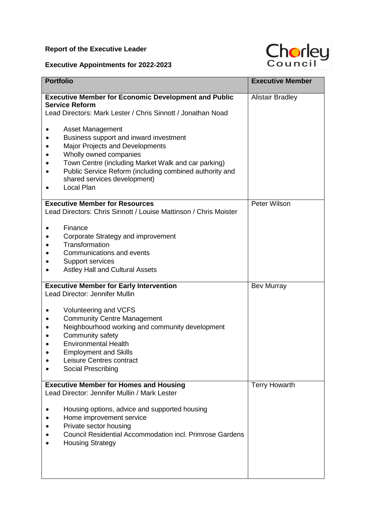## **Report of the Executive Leader**

## **Executive Appointments for 2022-2023**



| <b>Portfolio</b>                                                                 | <b>Executive Member</b> |
|----------------------------------------------------------------------------------|-------------------------|
| <b>Executive Member for Economic Development and Public</b>                      | <b>Alistair Bradley</b> |
| <b>Service Reform</b>                                                            |                         |
| Lead Directors: Mark Lester / Chris Sinnott / Jonathan Noad                      |                         |
| <b>Asset Management</b>                                                          |                         |
| Business support and inward investment                                           |                         |
| Major Projects and Developments                                                  |                         |
| Wholly owned companies                                                           |                         |
| Town Centre (including Market Walk and car parking)                              |                         |
| Public Service Reform (including combined authority and                          |                         |
| shared services development)                                                     |                         |
| Local Plan                                                                       |                         |
| <b>Executive Member for Resources</b>                                            | Peter Wilson            |
| Lead Directors: Chris Sinnott / Louise Mattinson / Chris Moister                 |                         |
| Finance                                                                          |                         |
| Corporate Strategy and improvement                                               |                         |
| Transformation                                                                   |                         |
| Communications and events                                                        |                         |
| Support services                                                                 |                         |
| <b>Astley Hall and Cultural Assets</b>                                           |                         |
| <b>Executive Member for Early Intervention</b><br>Lead Director: Jennifer Mullin | <b>Bev Murray</b>       |
|                                                                                  |                         |
| Volunteering and VCFS                                                            |                         |
| <b>Community Centre Management</b>                                               |                         |
| Neighbourhood working and community development                                  |                         |
| Community safety                                                                 |                         |
| <b>Environmental Health</b>                                                      |                         |
| <b>Employment and Skills</b>                                                     |                         |
| Leisure Centres contract                                                         |                         |
| Social Prescribing                                                               |                         |
| <b>Executive Member for Homes and Housing</b>                                    | <b>Terry Howarth</b>    |
| Lead Director: Jennifer Mullin / Mark Lester                                     |                         |
| Housing options, advice and supported housing                                    |                         |
| Home improvement service                                                         |                         |
| Private sector housing                                                           |                         |
| Council Residential Accommodation incl. Primrose Gardens                         |                         |
| <b>Housing Strategy</b>                                                          |                         |
|                                                                                  |                         |
|                                                                                  |                         |
|                                                                                  |                         |
|                                                                                  |                         |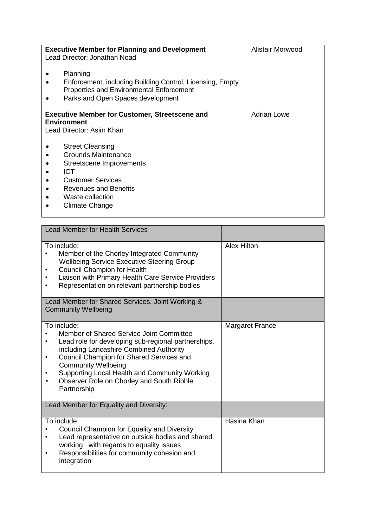| <b>Executive Member for Planning and Development</b><br>Lead Director: Jonathan Noad<br>Planning<br>Enforcement, including Building Control, Licensing, Empty<br>Properties and Environmental Enforcement<br>Parks and Open Spaces development                                                               | Alistair Morwood   |
|--------------------------------------------------------------------------------------------------------------------------------------------------------------------------------------------------------------------------------------------------------------------------------------------------------------|--------------------|
| <b>Executive Member for Customer, Streetscene and</b><br><b>Environment</b><br>Lead Director: Asim Khan<br><b>Street Cleansing</b><br><b>Grounds Maintenance</b><br>Streetscene Improvements<br><b>ICT</b><br><b>Customer Services</b><br><b>Revenues and Benefits</b><br>Waste collection<br>Climate Change | <b>Adrian Lowe</b> |

| <b>Lead Member for Health Services</b>                                                                                                                                                                                                                                                                                                                                     |                        |
|----------------------------------------------------------------------------------------------------------------------------------------------------------------------------------------------------------------------------------------------------------------------------------------------------------------------------------------------------------------------------|------------------------|
| To include:<br>Member of the Chorley Integrated Community<br><b>Wellbeing Service Executive Steering Group</b><br><b>Council Champion for Health</b><br>Liaison with Primary Health Care Service Providers<br>Representation on relevant partnership bodies<br>٠<br>Lead Member for Shared Services, Joint Working &                                                       | <b>Alex Hilton</b>     |
| <b>Community Wellbeing</b>                                                                                                                                                                                                                                                                                                                                                 |                        |
| To include:<br>Member of Shared Service Joint Committee<br>Lead role for developing sub-regional partnerships,<br>including Lancashire Combined Authority<br>Council Champion for Shared Services and<br>$\bullet$<br><b>Community Wellbeing</b><br>Supporting Local Health and Community Working<br>Observer Role on Chorley and South Ribble<br>$\bullet$<br>Partnership | <b>Margaret France</b> |
| Lead Member for Equality and Diversity:                                                                                                                                                                                                                                                                                                                                    |                        |
| To include:<br>Council Champion for Equality and Diversity<br>Lead representative on outside bodies and shared<br>٠<br>working with regards to equality issues<br>Responsibilities for community cohesion and<br>$\bullet$<br>integration                                                                                                                                  | Hasina Khan            |